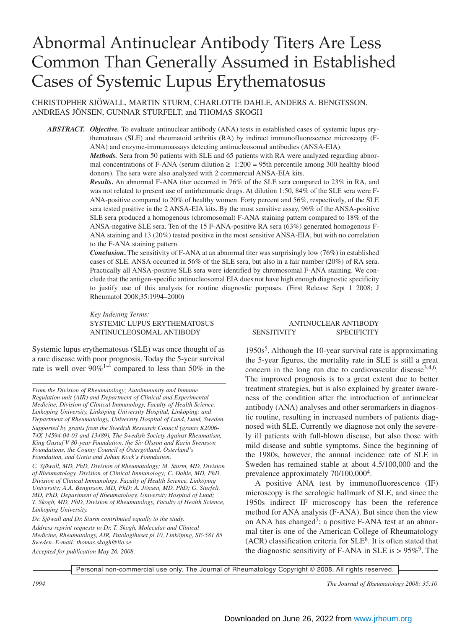# Abnormal Antinuclear Antibody Titers Are Less Common Than Generally Assumed in Established Cases of Systemic Lupus Erythematosus

CHRISTOPHER SJÖWALL, MARTIN STURM, CHARLOTTE DAHLE, ANDERS A. BENGTSSON, ANDREAS JÖNSEN, GUNNAR STURFELT, and THOMAS SKOGH

*ABSTRACT. Objective.* To evaluate antinuclear antibody (ANA) tests in established cases of systemic lupus erythematosus (SLE) and rheumatoid arthritis (RA) by indirect immunofluorescence microscopy (F-ANA) and enzyme-immunoassays detecting antinucleosomal antibodies (ANSA-EIA).

*Methods.* Sera from 50 patients with SLE and 65 patients with RA were analyzed regarding abnormal concentrations of F-ANA (serum dilution  $\geq 1:200 = 95$ th percentile among 300 healthy blood donors). The sera were also analyzed with 2 commercial ANSA-EIA kits.

*Results***.** An abnormal F-ANA titer occurred in 76% of the SLE sera compared to 23% in RA, and was not related to present use of antirheumatic drugs. At dilution 1:50, 84% of the SLE sera were F-ANA-positive compared to 20% of healthy women. Forty percent and 56%, respectively, of the SLE sera tested positive in the 2 ANSA-EIA kits. By the most sensitive assay, 96% of the ANSA-positive SLE sera produced a homogenous (chromosomal) F-ANA staining pattern compared to 18% of the ANSA-negative SLE sera. Ten of the 15 F-ANA-positive RA sera (63%) generated homogenous F-ANA staining and 13 (20%) tested positive in the most sensitive ANSA-EIA, but with no correlation to the F-ANA staining pattern.

*Conclusion***.** The sensitivity of F-ANA at an abnormal titer was surprisingly low (76%) in established cases of SLE. ANSA occurred in 56% of the SLE sera, but also in a fair number (20%) of RA sera. Practically all ANSA-positive SLE sera were identified by chromosomal F-ANA staining. We conclude that the antigen-specific antinucleosomal EIA does not have high enough diagnostic specificity to justify use of this analysis for routine diagnostic purposes. (First Release Sept 1 2008; J Rheumatol 2008;35:1994–2000)

*Key Indexing Terms:* SYSTEMIC LUPUS ERYTHEMATOSUS ANTINUCLEAR ANTIBODY

Systemic lupus erythematosus (SLE) was once thought of as a rare disease with poor prognosis. Today the 5-year survival rate is well over  $90\%$ <sup>1-4</sup> compared to less than 50% in the

*From the Division of Rheumatology; Autoimmunity and Immune Regulation unit (AIR) and Department of Clinical and Experimental Medicine, Division of Clinical Immunology, Faculty of Health Science, Linköping University, Linköping University Hospital, Linköping; and Department of Rheumatology, University Hospital of Lund, Lund, Sweden.*

*Supported by grants from the Swedish Research Council (grants K2006- 74X-14594-04-03 and 13489), The Swedish Society Against Rheumatism, King Gustaf V 80-year Foundation, the Siv Olsson and Karin Svensson Foundations, the County Council of Östergötland, Österlund's Foundation, and Greta and Johan Kock's Foundation.*

*C. Sjöwall, MD, PhD, Division of Rheumatology; M. Sturm, MD, Division of Rheumatology, Division of Clinical Immunology; C. Dahle, MD, PhD, Division of Clinical Immunology, Faculty of Health Science, Linköping University; A.A. Bengtsson, MD, PhD; A. Jönsen, MD, PhD; G. Sturfelt, MD, PhD, Department of Rheumatology, University Hospital of Lund; T. Skogh, MD, PhD, Division of Rheumatology, Faculty of Health Science, Linköping University.*

*Dr. Sjöwall and Dr. Sturm contributed equally to the study.*

*Address reprint requests to Dr. T. Skogh, Molecular and Clinical Medicine, Rheumatology, AIR, Patologihuset pl.10, Linköping, SE-581 85 Sweden. E-mail: thomas.skogh@lio.se*

*Accepted for publication May 26, 2008.*

# ANTINUCLEOSOMAL ANTIBODY SENSITIVITY SPECIFICITY

 $1950s<sup>5</sup>$ . Although the 10-year survival rate is approximating the 5-year figures, the mortality rate in SLE is still a great concern in the long run due to cardiovascular disease<sup>3,4,6</sup>. The improved prognosis is to a great extent due to better treatment strategies, but is also explained by greater awareness of the condition after the introduction of antinuclear antibody (ANA) analyses and other seromarkers in diagnostic routine, resulting in increased numbers of patients diagnosed with SLE. Currently we diagnose not only the severely ill patients with full-blown disease, but also those with mild disease and subtle symptoms. Since the beginning of the 1980s, however, the annual incidence rate of SLE in Sweden has remained stable at about 4.5/100,000 and the prevalence approximately  $70/100,000<sup>4</sup>$ .

A positive ANA test by immunofluorescence (IF) microscopy is the serologic hallmark of SLE, and since the 1950s indirect IF microscopy has been the reference method for ANA analysis (F-ANA). But since then the view on ANA has changed<sup>7</sup>; a positive F-ANA test at an abnormal titer is one of the American College of Rheumatology  $(ACR)$  classification criteria for  $SLE<sup>8</sup>$ . It is often stated that the diagnostic sensitivity of F-ANA in SLE is  $> 95\%$ <sup>9</sup>. The

Personal non-commercial use only. The Journal of Rheumatology Copyright © 2008. All rights reserved.

*1994 The Journal of Rheumatology 2008; 35:10*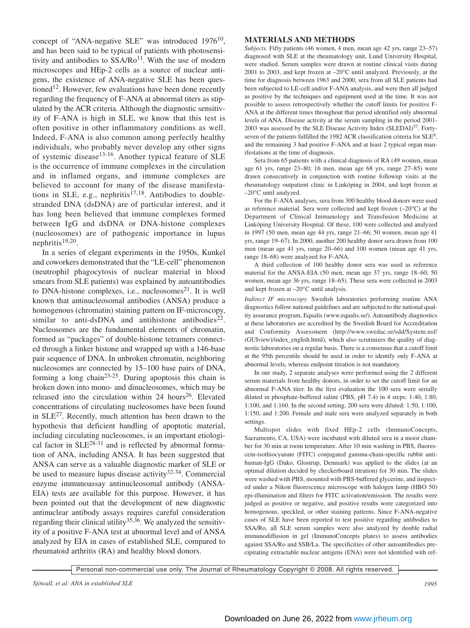concept of "ANA-negative SLE" was introduced  $1976^{10}$ , and has been said to be typical of patients with photosensitivity and antibodies to  $SSA/Ro<sup>11</sup>$ . With the use of modern microscopes and HEp-2 cells as a source of nuclear antigens, the existence of ANA-negative SLE has been questioned<sup>12</sup>. However, few evaluations have been done recently regarding the frequency of F-ANA at abnormal titers as stipulated by the ACR criteria. Although the diagnostic sensitivity of F-ANA is high in SLE, we know that this test is often positive in other inflammatory conditions as well. Indeed, F-ANA is also common among perfectly healthy individuals, who probably never develop any other signs of systemic disease<sup>13-16</sup>. Another typical feature of SLE is the occurrence of immune complexes in the circulation and in inflamed organs, and immune complexes are believed to account for many of the disease manifestations in SLE, e.g., nephritis<sup>17,18</sup>. Antibodies to doublestranded DNA (dsDNA) are of particular interest, and it has long been believed that immune complexes formed between IgG and dsDNA or DNA-histone complexes (nucleosomes) are of pathogenic importance in lupus nephritis $19,20$ .

In a series of elegant experiments in the 1950s, Kunkel and coworkers demonstrated that the "LE-cell" phenomenon (neutrophil phagocytosis of nuclear material in blood smears from SLE patients) was explained by autoantibodies to DNA-histone complexes, i.e., nucleosomes $2<sup>1</sup>$ . It is well known that antinucleosomal antibodies (ANSA) produce a homogenous (chromatin) staining pattern on IF-microscopy, similar to anti-dsDNA and antihistone antibodies<sup>22</sup>. Nucleosomes are the fundamental elements of chromatin, formed as "packages" of double-histone tetramers connected through a linker histone and wrapped up with a 146-base pair sequence of DNA. In unbroken chromatin, neighboring nucleosomes are connected by 15–100 base pairs of DNA, forming a long chain<sup>23-25</sup>. During apoptosis this chain is broken down into mono- and dinucleosomes, which may be released into the circulation within  $24$  hours<sup>26</sup>. Elevated concentrations of circulating nucleosomes have been found in  $SLE<sup>27</sup>$ . Recently, much attention has been drawn to the hypothesis that deficient handling of apoptotic material, including circulating nucleosomes, is an important etiological factor in  $SLE^{28-31}$  and is reflected by abnormal formation of ANA, including ANSA. It has been suggested that ANSA can serve as a valuable diagnostic marker of SLE or be used to measure lupus disease activity $32-34$ . Commercial enzyme immunoassay antinucleosomal antibody (ANSA-EIA) tests are available for this purpose. However, it has been pointed out that the development of new diagnostic antinuclear antibody assays requires careful consideration regarding their clinical utility<sup>35,36</sup>. We analyzed the sensitivity of a positive F-ANA test at abnormal level and of ANSA analyzed by EIA in cases of established SLE, compared to rheumatoid arthritis (RA) and healthy blood donors.

### **MATERIALS AND METHODS**

*Subjects.* Fifty patients (46 women, 4 men, mean age 42 yrs, range 23–57) diagnosed with SLE at the rheumatology unit, Lund University Hospital, were studied. Serum samples were drawn at routine clinical visits during 2001 to 2003, and kept frozen at –20°C until analyzed. Previously, at the time for diagnosis between 1963 and 2000, sera from all SLE patients had been subjected to LE-cell and/or F-ANA analysis, and were then all judged as positive by the techniques and equipment used at the time. It was not possible to assess retrospectively whether the cutoff limits for positive F-ANA at the different times throughout that period identified only abnormal levels of ANA. Disease activity at the serum sampling in the period 2001- 2003 was assessed by the SLE Disease Activity Index  $(SLEDAI)^{37}$ . Fortyseven of the patients fulfilled the 1982 ACR classification criteria for SLE<sup>8</sup>, and the remaining 3 had positive F-ANA and at least 2 typical organ manifestations at the time of diagnosis.

Sera from 65 patients with a clinical diagnosis of RA (49 women, mean age 61 yrs, range 23–80; 16 men, mean age 68 yrs, range 27–85) were drawn consecutively in conjunction with routine followup visits at the rheumatology outpatient clinic in Linköping in 2004, and kept frozen at –20°C until analyzed.

For the F-ANA analyses, sera from 300 healthy blood donors were used as reference material. Sera were collected and kept frozen (–20°C) at the Department of Clinical Immunology and Transfusion Medicine at Linköping University Hospital. Of these, 100 were collected and analyzed in 1997 (50 men, mean age 44 yrs, range 21–66; 50 women, mean age 41 yrs, range 19–67). In 2000, another 200 healthy donor sera drawn from 100 men (mean age 41 yrs, range 20–66) and 100 women (mean age 41 yrs, range 18–68) were analyzed for F-ANA.

A third collection of 100 healthy donor sera was used as reference material for the ANSA-EIA (50 men, mean age 37 yrs, range 18–60; 50 women, mean age 36 yrs, range 18–65). These sera were collected in 2003 and kept frozen at –20°C until analysis.

*Indirect IF microscopy.* Swedish laboratories performing routine ANA diagnostics follow national guidelines and are subjected to the national quality assurance program, Equalis (www.equalis.se/). Autoantibody diagnostics at these laboratories are accredited by the Swedish Board for Accreditation and Conformity Assessment (http://www.swedac.se/sdd/System.nsf/ (GUIview)/index\_english.html), which also scrutinizes the quality of diagnostic laboratories on a regular basis. There is a consensus that a cutoff limit at the 95th percentile should be used in order to identify only F-ANA at abnormal levels, whereas endpoint titration is not mandatory.

In our study, 2 separate analyses were performed using the 2 different serum materials from healthy donors, in order to set the cutoff limit for an abnormal F-ANA titer. In the first evaluation the 100 sera were serially diluted in phosphate-buffered saline (PBS, pH 7.4) in 4 steps: 1:40, 1:80, 1:100, and 1:160. In the second setting, 200 sera were diluted: 1:50, 1:100, 1:150, and 1:200. Female and male sera were analyzed separately in both settings.

Multispot slides with fixed HEp-2 cells (ImmunoConcepts, Sacramento, CA, USA) were incubated with diluted sera in a moist chamber for 30 min at room temperature. After 10 min washing in PBS, fluorescein-isothiocyanate (FITC) conjugated gamma-chain-specific rabbit antihuman-IgG (Dako, Glostrup, Denmark) was applied to the slides (at an optimal dilution decided by checkerboard titration) for 30 min. The slides were washed with PBS, mounted with PBS-buffered glycerine, and inspected under a Nikon fluorescence microscope with halogen lamp (HBO 50) epi-illumination and filters for FITC activation/emission. The results were judged as positive or negative, and positive results were categorized into homogenous, speckled, or other staining patterns. Since F-ANA-negative cases of SLE have been reported to test positive regarding antibodies to SSA/Ro, all SLE serum samples were also analyzed by double radial immunodiffusion in gel (ImmunoConcepts plates) to assess antibodies against SSA/Ro and SSB/La. The specificities of other autoantibodies precipitating extractable nuclear antigens (ENA) were not identified with ref-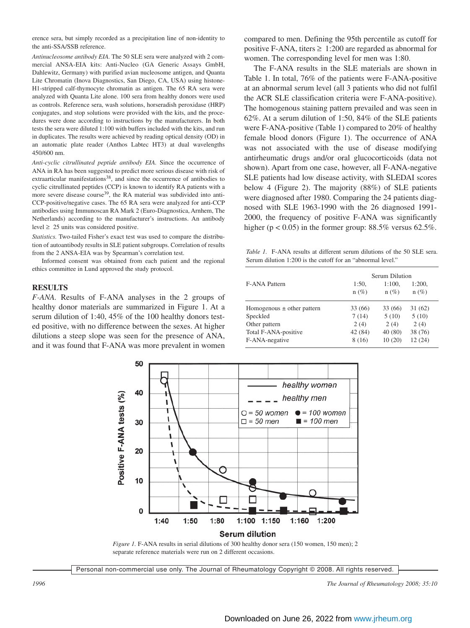erence sera, but simply recorded as a precipitation line of non-identity to the anti-SSA/SSB reference.

*Antinucleosome antibody EIA.* The 50 SLE sera were analyzed with 2 commercial ANSA-EIA kits: Anti-Nucleo (GA Generic Assays GmbH, Dahlewitz, Germany) with purified avian nucleosome antigen, and Quanta Lite Chromatin (Inova Diagnostics, San Diego, CA, USA) using histone-H1-stripped calf-thymocyte chromatin as antigen. The 65 RA sera were analyzed with Quanta Lite alone. 100 sera from healthy donors were used as controls. Reference sera, wash solutions, horseradish peroxidase (HRP) conjugates, and stop solutions were provided with the kits, and the procedures were done according to instructions by the manufacturers. In both tests the sera were diluted 1:100 with buffers included with the kits, and run in duplicates. The results were achieved by reading optical density (OD) in an automatic plate reader (Anthos Labtec HT3) at dual wavelengths 450/600 nm.

*Anti-cyclic citrullinated peptide antibody EIA.* Since the occurrence of ANA in RA has been suggested to predict more serious disease with risk of extraarticular manifestations<sup>38</sup>, and since the occurrence of antibodies to cyclic citrullinated peptides (CCP) is known to identify RA patients with a more severe disease course<sup>39</sup>, the RA material was subdivided into anti-CCP-positive/negative cases. The 65 RA sera were analyzed for anti-CCP antibodies using Immunoscan RA Mark 2 (Euro-Diagnostica, Arnhem, The Netherlands) according to the manufacturer's instructions. An antibody level  $\geq 25$  units was considered positive.

*Statistics.* Two-tailed Fisher's exact test was used to compare the distribution of autoantibody results in SLE patient subgroups. Correlation of results from the 2 ANSA-EIA was by Spearman's correlation test.

Informed consent was obtained from each patient and the regional ethics committee in Lund approved the study protocol.

#### **RESULTS**

*F-ANA.* Results of F-ANA analyses in the 2 groups of healthy donor materials are summarized in Figure 1. At a serum dilution of 1:40, 45% of the 100 healthy donors tested positive, with no difference between the sexes. At higher dilutions a steep slope was seen for the presence of ANA, and it was found that F-ANA was more prevalent in women compared to men. Defining the 95th percentile as cutoff for positive F-ANA, titers  $\geq 1:200$  are regarded as abnormal for women. The corresponding level for men was 1:80.

The F-ANA results in the SLE materials are shown in Table 1. In total, 76% of the patients were F-ANA-positive at an abnormal serum level (all 3 patients who did not fulfil the ACR SLE classification criteria were F-ANA-positive). The homogenous staining pattern prevailed and was seen in 62%. At a serum dilution of 1:50, 84% of the SLE patients were F-ANA-positive (Table 1) compared to 20% of healthy female blood donors (Figure 1). The occurrence of ANA was not associated with the use of disease modifying antirheumatic drugs and/or oral glucocorticoids (data not shown). Apart from one case, however, all F-ANA-negative SLE patients had low disease activity, with SLEDAI scores below 4 (Figure 2). The majority (88%) of SLE patients were diagnosed after 1980. Comparing the 24 patients diagnosed with SLE 1963-1990 with the 26 diagnosed 1991- 2000, the frequency of positive F-ANA was significantly higher ( $p < 0.05$ ) in the former group: 88.5% versus 62.5%.

*Table 1.* F-ANA results at different serum dilutions of the 50 SLE sera. Serum dilution 1:200 is the cutoff for an "abnormal level."

|                                | Serum Dilution   |                   |                   |
|--------------------------------|------------------|-------------------|-------------------|
| F-ANA Pattern                  | 1:50,<br>$n(\%)$ | 1:100.<br>$n(\%)$ | 1:200,<br>$n(\%)$ |
| Homogenous $\pm$ other pattern | 33 (66)          | 33 (66)           | 31(62)            |
| Speckled                       | 7(14)            | 5(10)             | 5(10)             |
| Other pattern                  | 2(4)             | 2(4)              | 2(4)              |
| Total F-ANA-positive           | 42 (84)          | 40 (80)           | 38 (76)           |
| F-ANA-negative                 | 8(16)            | 10(20)            | 12 (24)           |



*Figure 1.* F-ANA results in serial dilutions of 300 healthy donor sera (150 women, 150 men); 2 separate reference materials were run on 2 different occasions.

Personal non-commercial use only. The Journal of Rheumatology Copyright © 2008. All rights reserved.

*1996 The Journal of Rheumatology 2008; 35:10*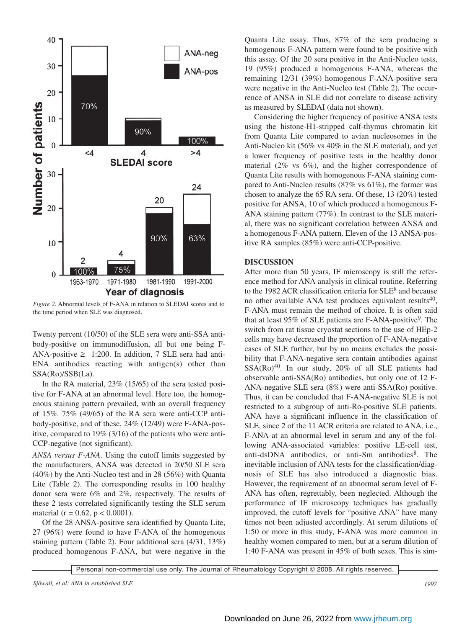

*Figure 2.* Abnormal levels of F-ANA in relation to SLEDAI scores and to the time period when SLE was diagnosed.

Twenty percent (10/50) of the SLE sera were anti-SSA antibody-positive on immunodiffusion, all but one being F-ANA-positive  $\geq$  1:200. In addition, 7 SLE sera had anti-ENA antibodies reacting with antigen(s) other than SSA(Ro)/SSB(La).

In the RA material, 23% (15/65) of the sera tested positive for F-ANA at an abnormal level. Here too, the homogenous staining pattern prevailed, with an overall frequency of 15%. 75% (49/65) of the RA sera were anti-CCP antibody-positive, and of these, 24% (12/49) were F-ANA-positive, compared to 19% (3/16) of the patients who were anti-CCP-negative (not significant).

*ANSA versus F-ANA*. Using the cutoff limits suggested by the manufacturers, ANSA was detected in 20/50 SLE sera (40%) by the Anti-Nucleo test and in 28 (56%) with Quanta Lite (Table 2). The corresponding results in 100 healthy donor sera were 6% and 2%, respectively. The results of these 2 tests correlated significantly testing the SLE serum material ( $r = 0.62$ ,  $p < 0.0001$ ).

Of the 28 ANSA-positive sera identified by Quanta Lite, 27 (96%) were found to have F-ANA of the homogenous staining pattern (Table 2). Four additional sera (4/31, 13%) produced homogenous F-ANA, but were negative in the Quanta Lite assay. Thus, 87% of the sera producing a homogenous F-ANA pattern were found to be positive with this assay. Of the 20 sera positive in the Anti-Nucleo tests, 19 (95%) produced a homogenous F-ANA, whereas the remaining 12/31 (39%) homogenous F-ANA-positive sera were negative in the Anti-Nucleo test (Table 2). The occurrence of ANSA in SLE did not correlate to disease activity as measured by SLEDAI (data not shown).

Considering the higher frequency of positive ANSA tests using the histone-H1-stripped calf-thymus chromatin kit from Quanta Lite compared to avian nucleosomes in the Anti-Nucleo kit (56% vs 40% in the SLE material), and yet a lower frequency of positive tests in the healthy donor material (2% vs 6%), and the higher correspondence of Quanta Lite results with homogenous F-ANA staining compared to Anti-Nucleo results (87% vs 61%), the former was chosen to analyze the 65 RA sera. Of these, 13 (20%) tested positive for ANSA, 10 of which produced a homogenous F-ANA staining pattern (77%). In contrast to the SLE material, there was no significant correlation between ANSA and a homogenous F-ANA pattern. Eleven of the 13 ANSA-positive RA samples (85%) were anti-CCP-positive.

## **DISCUSSION**

After more than 50 years, IF microscopy is still the reference method for ANA analysis in clinical routine. Referring to the 1982 ACR classification criteria for  $SLE^8$  and because no other available ANA test produces equivalent results $40$ , F-ANA must remain the method of choice. It is often said that at least  $95\%$  of SLE patients are F-ANA-positive<sup>9</sup>. The switch from rat tissue cryostat sections to the use of HEp-2 cells may have decreased the proportion of F-ANA-negative cases of SLE further, but by no means excludes the possibility that F-ANA-negative sera contain antibodies against  $SSA(Ro)^{40}$ . In our study, 20% of all SLE patients had observable anti-SSA(Ro) antibodies, but only one of 12 F-ANA-negative SLE sera (8%) were anti-SSA(Ro) positive. Thus, it can be concluded that F-ANA-negative SLE is not restricted to a subgroup of anti-Ro-positive SLE patients. ANA have a significant influence in the classification of SLE, since 2 of the 11 ACR criteria are related to ANA, i.e., F-ANA at an abnormal level in serum and any of the following ANA-associated variables: positive LE-cell test, anti-dsDNA antibodies, or anti-Sm antibodies<sup>8</sup>. The inevitable inclusion of ANA tests for the classification/diagnosis of SLE has also introduced a diagnostic bias. However, the requirement of an abnormal serum level of F-ANA has often, regrettably, been neglected. Although the performance of IF microscopy techniques has gradually improved, the cutoff levels for "positive ANA" have many times not been adjusted accordingly. At serum dilutions of 1:50 or more in this study, F-ANA was more common in healthy women compared to men, but at a serum dilution of 1:40 F-ANA was present in 45% of both sexes. This is sim-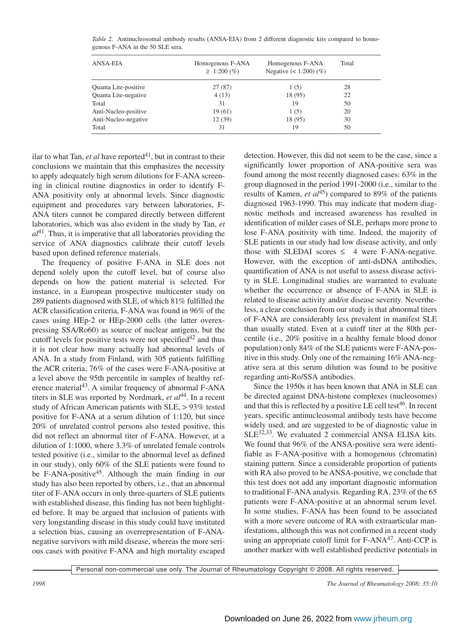| ANSA-EIA             | Homogenous F-ANA<br>$\geq 1:200\,(%)$ | Homogenous F-ANA<br>Negative $(< 1:200)$ $(\%)$ | Total |
|----------------------|---------------------------------------|-------------------------------------------------|-------|
| Quanta Lite-positive | 27(87)                                | 1(5)                                            | 28    |
| Quanta Lite-negative | 4(13)                                 | 18 (95)                                         | 22    |
| Total                | 31                                    | 19                                              | 50    |
| Anti-Nucleo-positive | 19(61)                                | 1(5)                                            | 20    |
| Anti-Nucleo-negative | 12(39)                                | 18 (95)                                         | 30    |
| Total                | 31                                    | 19                                              | 50    |

*Table 2.* Antinucleosomal antibody results (ANSA-EIA) from 2 different diagnostic kits compared to homogenous F-ANA in the 50 SLE sera.

ilar to what Tan, et al have reported<sup>41</sup>, but in contrast to their conclusions we maintain that this emphasizes the necessity to apply adequately high serum dilutions for F-ANA screening in clinical routine diagnostics in order to identify F-ANA positivity only at abnormal levels. Since diagnostic equipment and procedures vary between laboratories, F-ANA titers cannot be compared directly between different laboratories, which was also evident in the study by Tan, *et*  $a^{14}$ . Thus, it is imperative that all laboratories providing the service of ANA diagnostics calibrate their cutoff levels based upon defined reference materials.

The frequency of positive F-ANA in SLE does not depend solely upon the cutoff level, but of course also depends on how the patient material is selected. For instance, in a European prospective multicenter study on 289 patients diagnosed with SLE, of which 81% fulfilled the ACR classification criteria, F-ANA was found in 96% of the cases using HEp-2 or HEp-2000 cells (the latter overexpressing SSA/Ro60) as source of nuclear antigens, but the cutoff levels for positive tests were not specified<sup>42</sup> and thus it is not clear how many actually had abnormal levels of ANA. In a study from Finland, with 305 patients fulfilling the ACR criteria, 76% of the cases were F-ANA-positive at a level above the 95th percentile in samples of healthy reference material<sup>43</sup>. A similar frequency of abnormal F-ANA titers in SLE was reported by Nordmark, *et al*<sup>44</sup>. In a recent study of African American patients with SLE, > 93% tested positive for F-ANA at a serum dilution of 1:120, but since 20% of unrelated control persons also tested positive, this did not reflect an abnormal titer of F-ANA. However, at a dilution of 1:1000, where 3.3% of unrelated female controls tested positive (i.e., similar to the abnormal level as defined in our study), only 60% of the SLE patients were found to be F-ANA-positive<sup>45</sup>. Although the main finding in our study has also been reported by others, i.e., that an abnormal titer of F-ANA occurs in only three-quarters of SLE patients with established disease, this finding has not been highlighted before. It may be argued that inclusion of patients with very longstanding disease in this study could have instituted a selection bias, causing an overrepresentation of F-ANAnegative survivors with mild disease, whereas the more serious cases with positive F-ANA and high mortality escaped

detection. However, this did not seem to be the case, since a significantly lower proportion of ANA-positive sera was found among the most recently diagnosed cases: 63% in the group diagnosed in the period 1991-2000 (i.e., similar to the results of Kamen, *et al*<sup>45</sup>) compared to 89% of the patients diagnosed 1963-1990. This may indicate that modern diagnostic methods and increased awareness has resulted in identification of milder cases of SLE, perhaps more prone to lose F-ANA positivity with time. Indeed, the majority of SLE patients in our study had low disease activity, and only those with SLEDAI scores  $\leq$  4 were F-ANA-negative. However, with the exception of anti-dsDNA antibodies, quantification of ANA is not useful to assess disease activity in SLE. Longitudinal studies are warranted to evaluate whether the occurrence or absence of F-ANA in SLE is related to disease activity and/or disease severity. Nevertheless, a clear conclusion from our study is that abnormal titers of F-ANA are considerably less prevalent in manifest SLE than usually stated. Even at a cutoff titer at the 80th percentile (i.e., 20% positive in a healthy female blood donor population) only 84% of the SLE patients were F-ANA-positive in this study. Only one of the remaining 16% ANA-negative sera at this serum dilution was found to be positive regarding anti-Ro/SSA antibodies.

Since the 1950s it has been known that ANA in SLE can be directed against DNA-histone complexes (nucleosomes) and that this is reflected by a positive LE cell test<sup>46</sup>. In recent years, specific antinucleosomal antibody tests have become widely used, and are suggested to be of diagnostic value in SLE<sup>32,33</sup>. We evaluated 2 commercial ANSA ELISA kits. We found that 96% of the ANSA-positive sera were identifiable as F-ANA-positive with a homogenous (chromatin) staining pattern. Since a considerable proportion of patients with RA also proved to be ANSA-positive, we conclude that this test does not add any important diagnostic information to traditional F-ANA analysis. Regarding RA, 23% of the 65 patients were F-ANA-positive at an abnormal serum level. In some studies, F-ANA has been found to be associated with a more severe outcome of RA with extraarticular manifestations, although this was not confirmed in a recent study using an appropriate cutoff limit for F-ANA47. Anti-CCP is another marker with well established predictive potentials in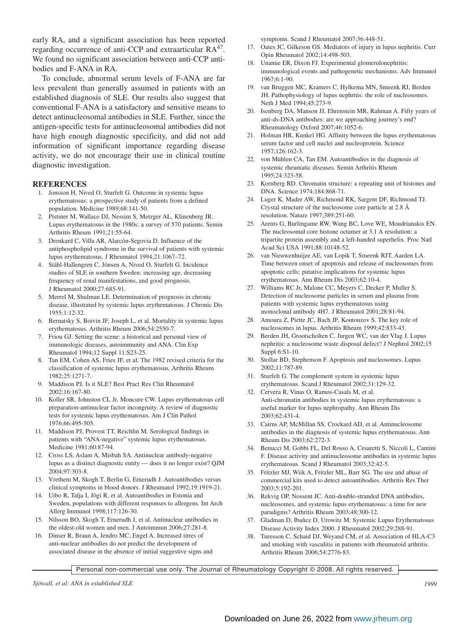early RA, and a significant association has been reported regarding occurrence of anti-CCP and extraarticular RA<sup>47</sup>. We found no significant association between anti-CCP antibodies and F-ANA in RA.

To conclude, abnormal serum levels of F-ANA are far less prevalent than generally assumed in patients with an established diagnosis of SLE. Our results also suggest that conventional F-ANA is a satisfactory and sensitive means to detect antinucleosomal antibodies in SLE. Further, since the antigen-specific tests for antinucleosomal antibodies did not have high enough diagnostic specificity, and did not add information of significant importance regarding disease activity, we do not encourage their use in clinical routine diagnostic investigation.

#### **REFERENCES**

- 1. Jonsson H, Nived O, Sturfelt G. Outcome in systemic lupus erythematosus: a prospective study of patients from a defined population. Medicine 1989;68:141-50.
- 2. Pistiner M, Wallace DJ, Nessim S, Metzger AL, Klinenberg JR. Lupus erythematosus in the 1980s: a survey of 570 patients. Semin Arthritis Rheum 1991;21:55-64.
- 3. Drenkard C, Villa AR, Alarcón-Segovia D. Influence of the antiphospholipid syndrome in the survival of patients with systemic lupus erythematosus. J Rheumatol 1994;21:1067–72.
- 4. Ståhl-Hallengren C, Jönsen A, Nived O, Sturfelt G. Incidence studies of SLE in southern Sweden: increasing age, decreasing frequency of renal manifestations, and good prognosis. J Rheumatol 2000;27:685-91.
- 5. Merrel M, Shulman LE. Determination of prognosis in chronic disease, illustrated by systemic lupus erythematosus. J Chronic Dis 1955;1:12-32.
- 6. Bernatsky S, Boivin JF, Joseph L, et al. Mortality in systemic lupus erythematosus. Arthritis Rheum 2006;54:2550-7.
- 7. Friou GJ. Setting the scene: a historical and personal view of immunologic diseases, autoimmunity and ANA. Clin Exp Rheumatol 1994;12 Suppl 11:S23-25.
- 8. Tan EM, Cohen AS, Fries JF, et al. The 1982 revised criteria for the classification of systemic lupus erythematosus. Arthritis Rheum 1982;25:1271-7.
- 9. Maddison PJ. Is it SLE? Best Pract Res Clin Rheumatol 2002;16:167-80.
- 10. Koller SR, Johnston CL Jr, Moncure CW. Lupus erythematosus cell preparation-antinuclear factor incongruity. A review of diagnostic tests for systemic lupus erythematosus. Am J Clin Pathol 1976;66:495-505.
- 11. Maddison PJ, Provost TT, Reichlin M. Serological findings in patients with "ANA-negative" systemic lupus erythematosus. Medicine 1981;60:87-94.
- 12. Cross LS, Aslam A, Misbah SA. Antinuclear antibody-negative lupus as a distinct diagnostic entity — does it no longer exist? QJM 2004;97:303-8.
- 13. Vrethem M, Skogh T, Berlin G, Ernerudh J. Autoantibodies versus clinical symptoms in blood donors. J Rheumatol 1992;19:1919-21.
- 14. Uibo R, Talja I, Jõgi R, et al. Autoantibodies in Estonia and Sweden, populations with different responses to allergens. Int Arch Allerg Immunol 1998;117:126-30.
- 15. Nilsson BO, Skogh T, Ernerudh J, et al. Antinuclear antibodies in the oldest-old women and men. J Autoimmun 2006;27:281-8.
- 16. Dinser R, Braun A, Jendro MC, Engel A. Increased titres of anti-nuclear antibodies do not predict the development of associated disease in the absence of initial suggestive signs and

symptoms. Scand J Rheumatol 2007;36:448-51.

- 17. Oates JC, Gilkeson GS. Mediators of injury in lupus nephritis. Curr Opin Rheumatol 2002;14:498-503.
- 18. Unanue ER, Dixon FJ. Experimental glomerulonephritis: immunological events and pathogenetic mechanisms. Adv Immunol 1967;6:1-90.
- 19. van Bruggen MC, Kramers C, Hylkema MN, Smeenk RJ, Berden JH. Pathophysiology of lupus nephritis: the role of nucleosomes. Neth J Med 1994;45:273-9.
- 20. Isenberg DA, Manson JJ, Ehrenstein MR, Rahman A. Fifty years of anti-ds-DNA antibodies: are we approaching journey's end? Rheumatology Oxford 2007;46:1052-6.
- 21. Holman HR, Kunkel HG. Affinity between the lupus erythematosus serum factor and cell nuclei and nucleoprotein. Science 1957;126:162-3.
- 22. von Mühlen CA, Tan EM. Autoantibodies in the diagnosis of systemic rheumatic diseases. Semin Arthritis Rheum 1995;24:323-58.
- 23. Kornberg RD. Chromatin structure: a repeating unit of histones and DNA. Science 1974;184:868-71.
- 24. Luger K, Mader AW, Richmond RK, Sargent DF, Richmond TJ. Crystal structure of the nucleosome core particle at 2.8 Å resolution. Nature 1997;389:251-60.
- 25. Arents G, Burlingame RW, Wang BC, Love WE, Moudrianakis EN. The nucleosomal core histone octamer at 3.1 A resolution: a tripartite protein assembly and a left-handed superhelix. Proc Natl Acad Sci USA 1991;88:10148-52.
- 26. van Nieuwenhuijze AE, van Lopik T, Smeenk RJT, Aarden LA. Time between onset of apoptosis and release of nucleosomes from apoptotic cells: putative implications for systemic lupus erythematosus. Ann Rheum Dis 2003;62:10-4.
- 27. Williams RC Jr, Malone CC, Meyers C, Decker P, Muller S. Detection of nucleosome particles in serum and plasma from patients with systemic lupus erythematosus using monoclonal antibody 4H7. J Rheumatol 2001;28:81-94.
- 28. Amoura Z, Piette JC, Bach JF, Koutouzov S. The key role of nucleosomes in lupus. Arthritis Rheum 1999;42:833-43.
- 29. Berden JH, Grootscholten C, Jurgen WC, van der Vlag J. Lupus nephritis: a nucleosome waste disposal defect? J Nephrol 2002;15 Suppl 6:S1-10.
- 30. Stollar BD, Stephenson F. Apoptosis and nucleosomes. Lupus 2002;11:787-89.
- 31. Sturfelt G. The complement system in systemic lupus erythematosus. Scand J Rheumatol 2002;31:129-32.
- 32. Cervera R, Vinas O, Ramos-Casals M, et al. Anti-chromatin antibodies in systemic lupus erythematosus: a useful marker for lupus nephropathy. Ann Rheum Dis 2003;62:431-4.
- 33. Cairns AP, McMillan SS, Crockard AD, et al. Antinucleosome antibodies in the diagnosis of systemic lupus erythematosus. Ann Rheum Dis 2003;62:272-3.
- 34. Benucci M, Gobbi FL, Del Rosso A, Cesaretti S, Niccoli L, Cantini F. Disease activity and antinucleosome antibodies in systemic lupus erythematosus. Scand J Rheumatol 2003;32:42-5.
- 35. Fritzler MJ, Wiik A, Fritzler ML, Barr SG. The use and abuse of commercial kits used to detect autoantibodies. Arthritis Res Ther 2003;5:192-201.
- 36. Rekvig OP, Nossent JC. Anti-double-stranded DNA antibodies, nucleosomes, and systemic lupus erythematosus: a time for new paradigms? Arthritis Rheum 2003;48:300-12.
- 37. Gladman D, Ibañez D, Urowitz M. Systemic Lupus Erythematosus Disease Activity Index 2000. J Rheumatol 2002;29:288-91.
- 38. Turesson C, Schaid DJ, Weyand CM, et al. Association of HLA-C3 and smoking with vasculitis in patients with rheumatoid arthritis. Arthritis Rheum 2006;54:2776-83.